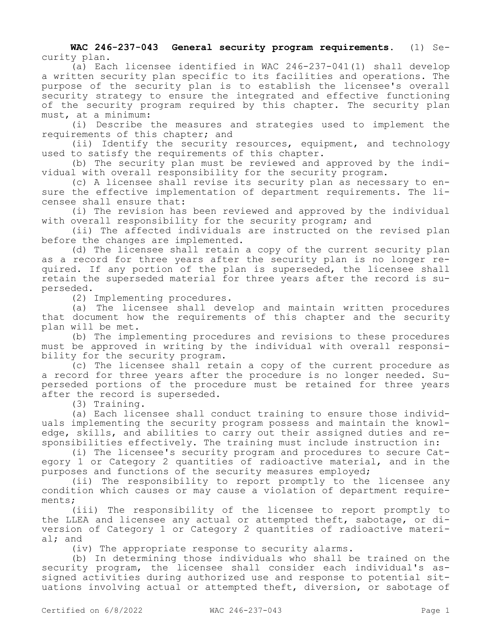**WAC 246-237-043 General security program requirements.** (1) Security plan.

(a) Each licensee identified in WAC 246-237-041(1) shall develop a written security plan specific to its facilities and operations. The purpose of the security plan is to establish the licensee's overall security strategy to ensure the integrated and effective functioning of the security program required by this chapter. The security plan must, at a minimum:

(i) Describe the measures and strategies used to implement the requirements of this chapter; and

(ii) Identify the security resources, equipment, and technology used to satisfy the requirements of this chapter.

(b) The security plan must be reviewed and approved by the individual with overall responsibility for the security program.

(c) A licensee shall revise its security plan as necessary to ensure the effective implementation of department requirements. The licensee shall ensure that:

(i) The revision has been reviewed and approved by the individual with overall responsibility for the security program; and

(ii) The affected individuals are instructed on the revised plan before the changes are implemented.

(d) The licensee shall retain a copy of the current security plan as a record for three years after the security plan is no longer required. If any portion of the plan is superseded, the licensee shall retain the superseded material for three years after the record is superseded.

(2) Implementing procedures.

(a) The licensee shall develop and maintain written procedures that document how the requirements of this chapter and the security plan will be met.

(b) The implementing procedures and revisions to these procedures must be approved in writing by the individual with overall responsibility for the security program.

(c) The licensee shall retain a copy of the current procedure as a record for three years after the procedure is no longer needed. Superseded portions of the procedure must be retained for three years after the record is superseded.

(3) Training.

(a) Each licensee shall conduct training to ensure those individuals implementing the security program possess and maintain the knowledge, skills, and abilities to carry out their assigned duties and responsibilities effectively. The training must include instruction in:

(i) The licensee's security program and procedures to secure Category 1 or Category 2 quantities of radioactive material, and in the purposes and functions of the security measures employed;

(ii) The responsibility to report promptly to the licensee any condition which causes or may cause a violation of department requirements;

(iii) The responsibility of the licensee to report promptly to the LLEA and licensee any actual or attempted theft, sabotage, or diversion of Category 1 or Category 2 quantities of radioactive material; and

(iv) The appropriate response to security alarms.

(b) In determining those individuals who shall be trained on the security program, the licensee shall consider each individual's assigned activities during authorized use and response to potential situations involving actual or attempted theft, diversion, or sabotage of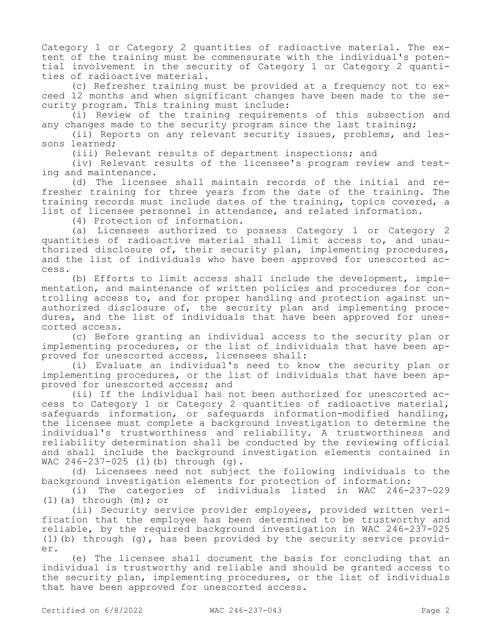Category 1 or Category 2 quantities of radioactive material. The extent of the training must be commensurate with the individual's potential involvement in the security of Category 1 or Category 2 quantities of radioactive material.

(c) Refresher training must be provided at a frequency not to exceed 12 months and when significant changes have been made to the security program. This training must include:

(i) Review of the training requirements of this subsection and any changes made to the security program since the last training;

(ii) Reports on any relevant security issues, problems, and lessons learned;

(iii) Relevant results of department inspections; and

(iv) Relevant results of the licensee's program review and testing and maintenance.

(d) The licensee shall maintain records of the initial and refresher training for three years from the date of the training. The training records must include dates of the training, topics covered, a list of licensee personnel in attendance, and related information.

(4) Protection of information.

(a) Licensees authorized to possess Category 1 or Category 2 quantities of radioactive material shall limit access to, and unauthorized disclosure of, their security plan, implementing procedures, and the list of individuals who have been approved for unescorted access.

(b) Efforts to limit access shall include the development, implementation, and maintenance of written policies and procedures for controlling access to, and for proper handling and protection against unauthorized disclosure of, the security plan and implementing procedures, and the list of individuals that have been approved for unescorted access.

(c) Before granting an individual access to the security plan or implementing procedures, or the list of individuals that have been approved for unescorted access, licensees shall:

(i) Evaluate an individual's need to know the security plan or implementing procedures, or the list of individuals that have been approved for unescorted access; and

(ii) If the individual has not been authorized for unescorted access to Category 1 or Category 2 quantities of radioactive material, safeguards information, or safeguards information-modified handling, the licensee must complete a background investigation to determine the individual's trustworthiness and reliability. A trustworthiness and reliability determination shall be conducted by the reviewing official and shall include the background investigation elements contained in WAC 246-237-025 (1)(b) through (g).

(d) Licensees need not subject the following individuals to the background investigation elements for protection of information:

(i) The categories of individuals listed in WAC 246-237-029 (1)(a) through  $(m)$ ; or

(ii) Security service provider employees, provided written verification that the employee has been determined to be trustworthy and reliable, by the required background investigation in WAC 246-237-025 (1)(b) through (g), has been provided by the security service provider.

(e) The licensee shall document the basis for concluding that an individual is trustworthy and reliable and should be granted access to the security plan, implementing procedures, or the list of individuals that have been approved for unescorted access.